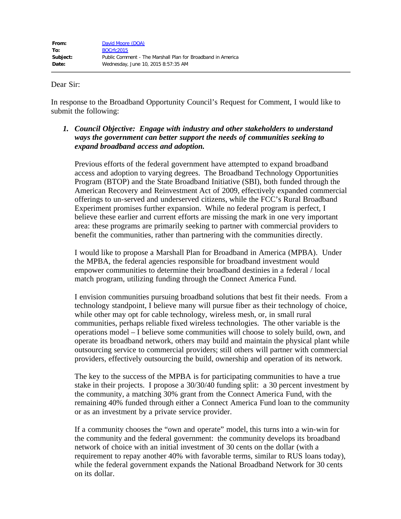## Dear Sir:

In response to the Broadband Opportunity Council's Request for Comment, I would like to submit the following:

*1. Council Objective: Engage with industry and other stakeholders to understand ways the government can better support the needs of communities seeking to expand broadband access and adoption.*

Previous efforts of the federal government have attempted to expand broadband access and adoption to varying degrees. The Broadband Technology Opportunities Program (BTOP) and the State Broadband Initiative (SBI), both funded through the American Recovery and Reinvestment Act of 2009, effectively expanded commercial offerings to un-served and underserved citizens, while the FCC's Rural Broadband Experiment promises further expansion. While no federal program is perfect, I believe these earlier and current efforts are missing the mark in one very important area: these programs are primarily seeking to partner with commercial providers to benefit the communities, rather than partnering with the communities directly.

I would like to propose a Marshall Plan for Broadband in America (MPBA). Under the MPBA, the federal agencies responsible for broadband investment would empower communities to determine their broadband destinies in a federal / local match program, utilizing funding through the Connect America Fund.

I envision communities pursuing broadband solutions that best fit their needs. From a technology standpoint, I believe many will pursue fiber as their technology of choice, while other may opt for cable technology, wireless mesh, or, in small rural communities, perhaps reliable fixed wireless technologies. The other variable is the operations model – I believe some communities will choose to solely build, own, and operate its broadband network, others may build and maintain the physical plant while outsourcing service to commercial providers; still others will partner with commercial providers, effectively outsourcing the build, ownership and operation of its network.

The key to the success of the MPBA is for participating communities to have a true stake in their projects. I propose a 30/30/40 funding split: a 30 percent investment by the community, a matching 30% grant from the Connect America Fund, with the remaining 40% funded through either a Connect America Fund loan to the community or as an investment by a private service provider.

If a community chooses the "own and operate" model, this turns into a win-win for the community and the federal government: the community develops its broadband network of choice with an initial investment of 30 cents on the dollar (with a requirement to repay another 40% with favorable terms, similar to RUS loans today), while the federal government expands the National Broadband Network for 30 cents on its dollar.